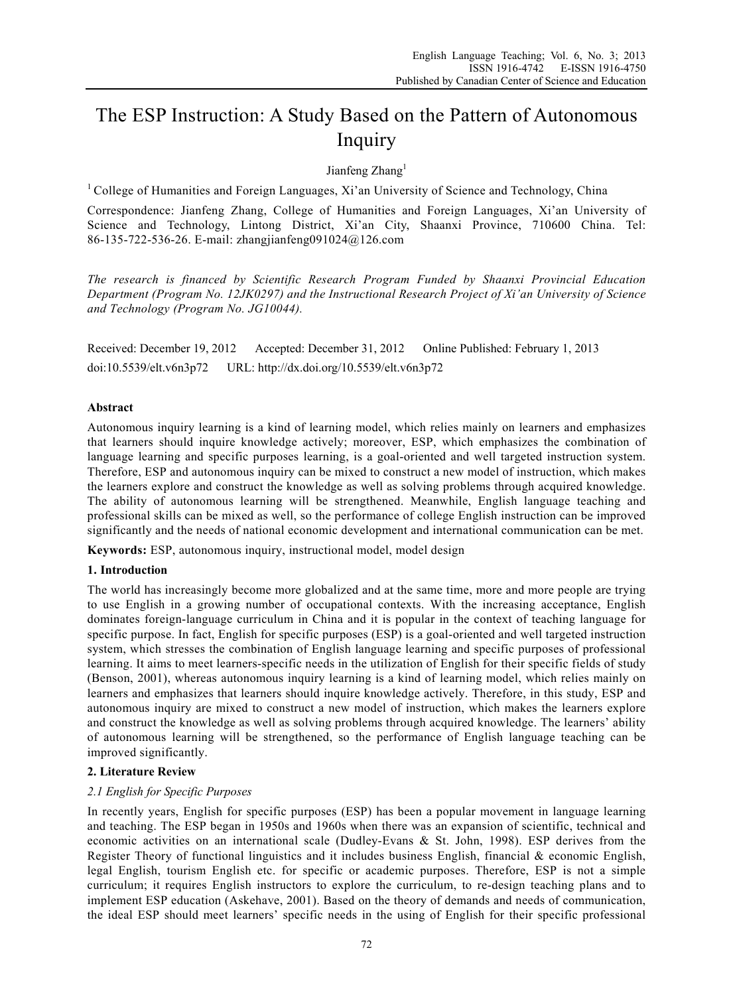# The ESP Instruction: A Study Based on the Pattern of Autonomous Inquiry

Jianfeng Zhang<sup>1</sup>

<sup>1</sup> College of Humanities and Foreign Languages, Xi'an University of Science and Technology, China

Correspondence: Jianfeng Zhang, College of Humanities and Foreign Languages, Xi'an University of Science and Technology, Lintong District, Xi'an City, Shaanxi Province, 710600 China. Tel: 86-135-722-536-26. E-mail: zhangjianfeng091024@126.com

*The research is financed by Scientific Research Program Funded by Shaanxi Provincial Education Department (Program No. 12JK0297) and the Instructional Research Project of Xi'an University of Science and Technology (Program No. JG10044).* 

Received: December 19, 2012 Accepted: December 31, 2012 Online Published: February 1, 2013 doi:10.5539/elt.v6n3p72 URL: http://dx.doi.org/10.5539/elt.v6n3p72

## **Abstract**

Autonomous inquiry learning is a kind of learning model, which relies mainly on learners and emphasizes that learners should inquire knowledge actively; moreover, ESP, which emphasizes the combination of language learning and specific purposes learning, is a goal-oriented and well targeted instruction system. Therefore, ESP and autonomous inquiry can be mixed to construct a new model of instruction, which makes the learners explore and construct the knowledge as well as solving problems through acquired knowledge. The ability of autonomous learning will be strengthened. Meanwhile, English language teaching and professional skills can be mixed as well, so the performance of college English instruction can be improved significantly and the needs of national economic development and international communication can be met.

**Keywords:** ESP, autonomous inquiry, instructional model, model design

## **1. Introduction**

The world has increasingly become more globalized and at the same time, more and more people are trying to use English in a growing number of occupational contexts. With the increasing acceptance, English dominates foreign-language curriculum in China and it is popular in the context of teaching language for specific purpose. In fact, English for specific purposes (ESP) is a goal-oriented and well targeted instruction system, which stresses the combination of English language learning and specific purposes of professional learning. It aims to meet learners-specific needs in the utilization of English for their specific fields of study (Benson, 2001), whereas autonomous inquiry learning is a kind of learning model, which relies mainly on learners and emphasizes that learners should inquire knowledge actively. Therefore, in this study, ESP and autonomous inquiry are mixed to construct a new model of instruction, which makes the learners explore and construct the knowledge as well as solving problems through acquired knowledge. The learners' ability of autonomous learning will be strengthened, so the performance of English language teaching can be improved significantly.

## **2. Literature Review**

## *2.1 English for Specific Purposes*

In recently years, English for specific purposes (ESP) has been a popular movement in language learning and teaching. The ESP began in 1950s and 1960s when there was an expansion of scientific, technical and economic activities on an international scale (Dudley-Evans & St. John, 1998). ESP derives from the Register Theory of functional linguistics and it includes business English, financial & economic English, legal English, tourism English etc. for specific or academic purposes. Therefore, ESP is not a simple curriculum; it requires English instructors to explore the curriculum, to re-design teaching plans and to implement ESP education (Askehave, 2001). Based on the theory of demands and needs of communication, the ideal ESP should meet learners' specific needs in the using of English for their specific professional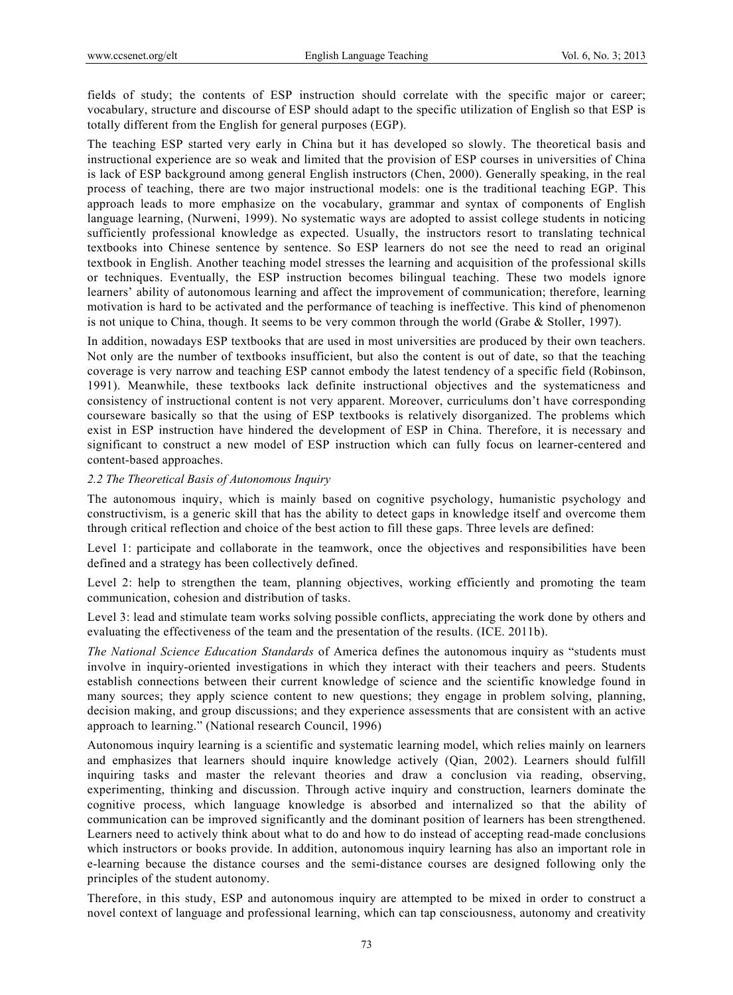fields of study; the contents of ESP instruction should correlate with the specific major or career; vocabulary, structure and discourse of ESP should adapt to the specific utilization of English so that ESP is totally different from the English for general purposes (EGP).

The teaching ESP started very early in China but it has developed so slowly. The theoretical basis and instructional experience are so weak and limited that the provision of ESP courses in universities of China is lack of ESP background among general English instructors (Chen, 2000). Generally speaking, in the real process of teaching, there are two major instructional models: one is the traditional teaching EGP. This approach leads to more emphasize on the vocabulary, grammar and syntax of components of English language learning, (Nurweni, 1999). No systematic ways are adopted to assist college students in noticing sufficiently professional knowledge as expected. Usually, the instructors resort to translating technical textbooks into Chinese sentence by sentence. So ESP learners do not see the need to read an original textbook in English. Another teaching model stresses the learning and acquisition of the professional skills or techniques. Eventually, the ESP instruction becomes bilingual teaching. These two models ignore learners' ability of autonomous learning and affect the improvement of communication; therefore, learning motivation is hard to be activated and the performance of teaching is ineffective. This kind of phenomenon is not unique to China, though. It seems to be very common through the world (Grabe & Stoller, 1997).

In addition, nowadays ESP textbooks that are used in most universities are produced by their own teachers. Not only are the number of textbooks insufficient, but also the content is out of date, so that the teaching coverage is very narrow and teaching ESP cannot embody the latest tendency of a specific field (Robinson, 1991). Meanwhile, these textbooks lack definite instructional objectives and the systematicness and consistency of instructional content is not very apparent. Moreover, curriculums don't have corresponding courseware basically so that the using of ESP textbooks is relatively disorganized. The problems which exist in ESP instruction have hindered the development of ESP in China. Therefore, it is necessary and significant to construct a new model of ESP instruction which can fully focus on learner-centered and content-based approaches.

#### *2.2 The Theoretical Basis of Autonomous Inquiry*

The autonomous inquiry, which is mainly based on cognitive psychology, humanistic psychology and constructivism, is a generic skill that has the ability to detect gaps in knowledge itself and overcome them through critical reflection and choice of the best action to fill these gaps. Three levels are defined:

Level 1: participate and collaborate in the teamwork, once the objectives and responsibilities have been defined and a strategy has been collectively defined.

Level 2: help to strengthen the team, planning objectives, working efficiently and promoting the team communication, cohesion and distribution of tasks.

Level 3: lead and stimulate team works solving possible conflicts, appreciating the work done by others and evaluating the effectiveness of the team and the presentation of the results. (ICE. 2011b).

*The National Science Education Standards* of America defines the autonomous inquiry as "students must involve in inquiry-oriented investigations in which they interact with their teachers and peers. Students establish connections between their current knowledge of science and the scientific knowledge found in many sources; they apply science content to new questions; they engage in problem solving, planning, decision making, and group discussions; and they experience assessments that are consistent with an active approach to learning." (National research Council, 1996)

Autonomous inquiry learning is a scientific and systematic learning model, which relies mainly on learners and emphasizes that learners should inquire knowledge actively (Qian, 2002). Learners should fulfill inquiring tasks and master the relevant theories and draw a conclusion via reading, observing, experimenting, thinking and discussion. Through active inquiry and construction, learners dominate the cognitive process, which language knowledge is absorbed and internalized so that the ability of communication can be improved significantly and the dominant position of learners has been strengthened. Learners need to actively think about what to do and how to do instead of accepting read-made conclusions which instructors or books provide. In addition, autonomous inquiry learning has also an important role in e-learning because the distance courses and the semi-distance courses are designed following only the principles of the student autonomy.

Therefore, in this study, ESP and autonomous inquiry are attempted to be mixed in order to construct a novel context of language and professional learning, which can tap consciousness, autonomy and creativity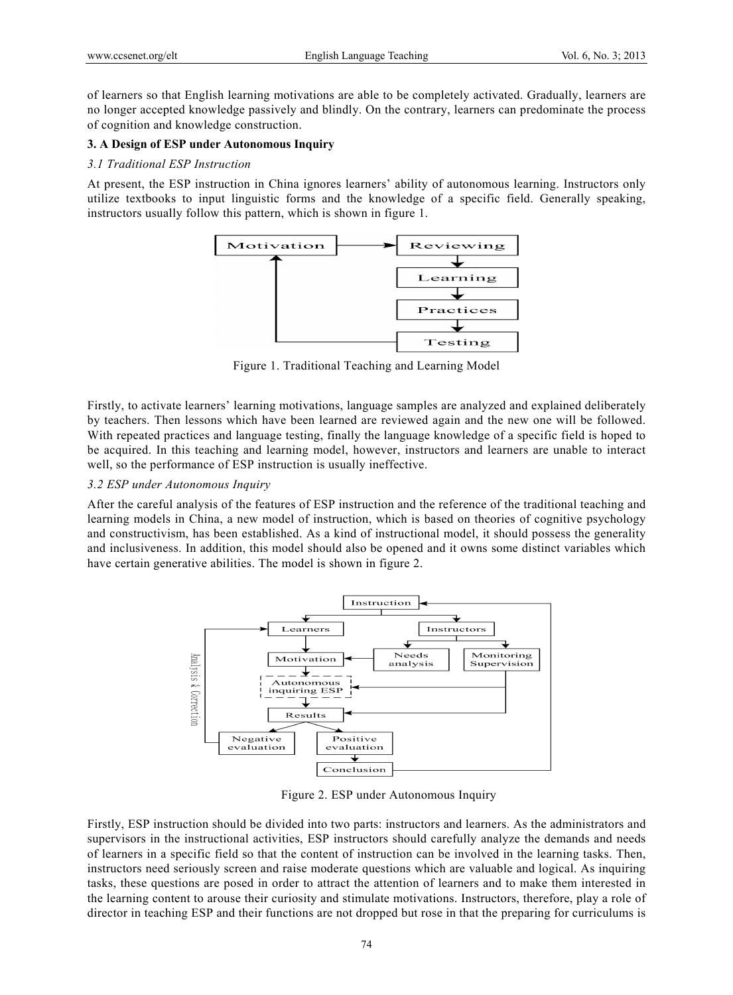of learners so that English learning motivations are able to be completely activated. Gradually, learners are no longer accepted knowledge passively and blindly. On the contrary, learners can predominate the process of cognition and knowledge construction.

### **3. A Design of ESP under Autonomous Inquiry**

#### *3.1 Traditional ESP Instruction*

At present, the ESP instruction in China ignores learners' ability of autonomous learning. Instructors only utilize textbooks to input linguistic forms and the knowledge of a specific field. Generally speaking, instructors usually follow this pattern, which is shown in figure 1.



Figure 1. Traditional Teaching and Learning Model

Firstly, to activate learners' learning motivations, language samples are analyzed and explained deliberately by teachers. Then lessons which have been learned are reviewed again and the new one will be followed. With repeated practices and language testing, finally the language knowledge of a specific field is hoped to be acquired. In this teaching and learning model, however, instructors and learners are unable to interact well, so the performance of ESP instruction is usually ineffective.

#### *3.2 ESP under Autonomous Inquiry*

After the careful analysis of the features of ESP instruction and the reference of the traditional teaching and learning models in China, a new model of instruction, which is based on theories of cognitive psychology and constructivism, has been established. As a kind of instructional model, it should possess the generality and inclusiveness. In addition, this model should also be opened and it owns some distinct variables which have certain generative abilities. The model is shown in figure 2.



Figure 2. ESP under Autonomous Inquiry

Firstly, ESP instruction should be divided into two parts: instructors and learners. As the administrators and supervisors in the instructional activities, ESP instructors should carefully analyze the demands and needs of learners in a specific field so that the content of instruction can be involved in the learning tasks. Then, instructors need seriously screen and raise moderate questions which are valuable and logical. As inquiring tasks, these questions are posed in order to attract the attention of learners and to make them interested in the learning content to arouse their curiosity and stimulate motivations. Instructors, therefore, play a role of director in teaching ESP and their functions are not dropped but rose in that the preparing for curriculums is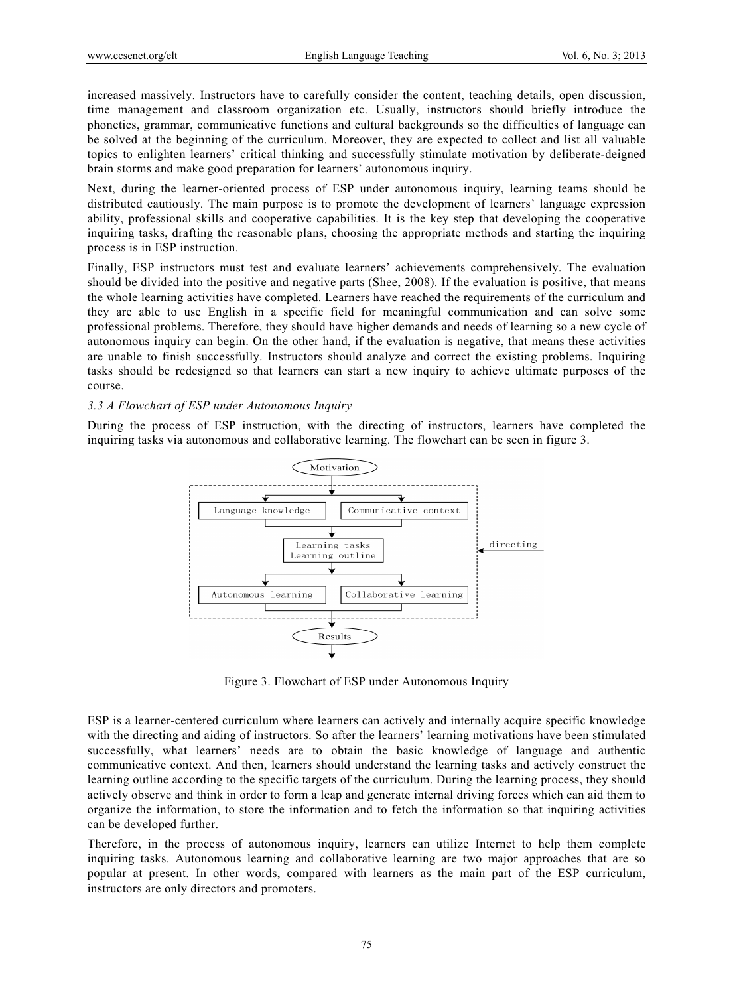increased massively. Instructors have to carefully consider the content, teaching details, open discussion, time management and classroom organization etc. Usually, instructors should briefly introduce the phonetics, grammar, communicative functions and cultural backgrounds so the difficulties of language can be solved at the beginning of the curriculum. Moreover, they are expected to collect and list all valuable topics to enlighten learners' critical thinking and successfully stimulate motivation by deliberate-deigned brain storms and make good preparation for learners' autonomous inquiry.

Next, during the learner-oriented process of ESP under autonomous inquiry, learning teams should be distributed cautiously. The main purpose is to promote the development of learners' language expression ability, professional skills and cooperative capabilities. It is the key step that developing the cooperative inquiring tasks, drafting the reasonable plans, choosing the appropriate methods and starting the inquiring process is in ESP instruction.

Finally, ESP instructors must test and evaluate learners' achievements comprehensively. The evaluation should be divided into the positive and negative parts (Shee, 2008). If the evaluation is positive, that means the whole learning activities have completed. Learners have reached the requirements of the curriculum and they are able to use English in a specific field for meaningful communication and can solve some professional problems. Therefore, they should have higher demands and needs of learning so a new cycle of autonomous inquiry can begin. On the other hand, if the evaluation is negative, that means these activities are unable to finish successfully. Instructors should analyze and correct the existing problems. Inquiring tasks should be redesigned so that learners can start a new inquiry to achieve ultimate purposes of the course.

#### *3.3 A Flowchart of ESP under Autonomous Inquiry*

During the process of ESP instruction, with the directing of instructors, learners have completed the inquiring tasks via autonomous and collaborative learning. The flowchart can be seen in figure 3.



Figure 3. Flowchart of ESP under Autonomous Inquiry

ESP is a learner-centered curriculum where learners can actively and internally acquire specific knowledge with the directing and aiding of instructors. So after the learners' learning motivations have been stimulated successfully, what learners' needs are to obtain the basic knowledge of language and authentic communicative context. And then, learners should understand the learning tasks and actively construct the learning outline according to the specific targets of the curriculum. During the learning process, they should actively observe and think in order to form a leap and generate internal driving forces which can aid them to organize the information, to store the information and to fetch the information so that inquiring activities can be developed further.

Therefore, in the process of autonomous inquiry, learners can utilize Internet to help them complete inquiring tasks. Autonomous learning and collaborative learning are two major approaches that are so popular at present. In other words, compared with learners as the main part of the ESP curriculum, instructors are only directors and promoters.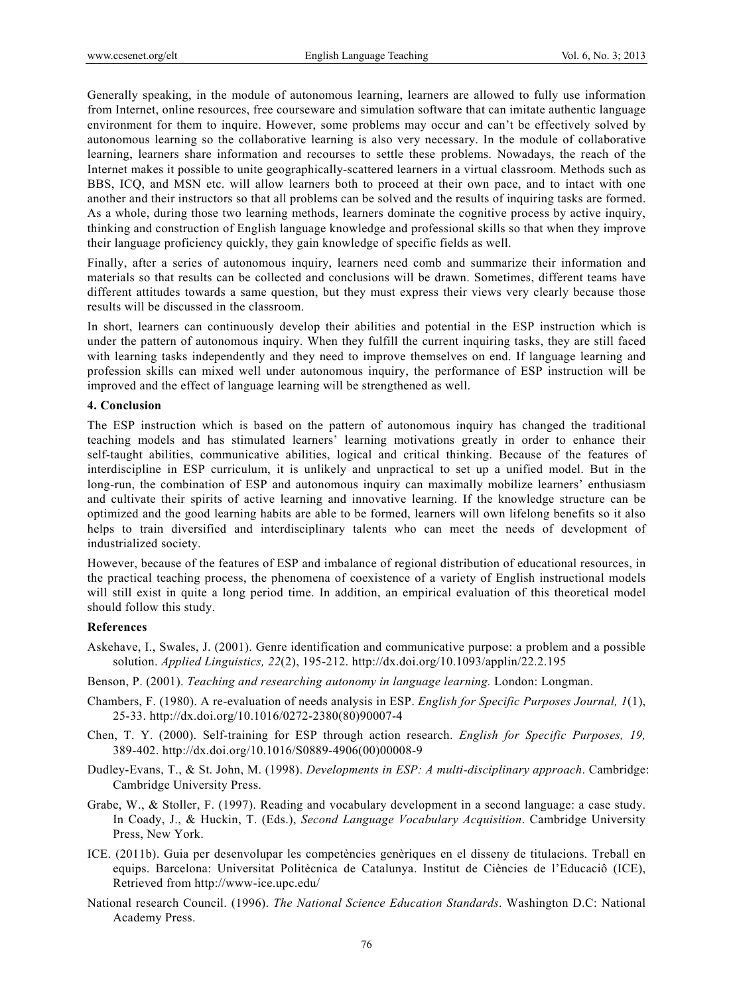Generally speaking, in the module of autonomous learning, learners are allowed to fully use information from Internet, online resources, free courseware and simulation software that can imitate authentic language environment for them to inquire. However, some problems may occur and can't be effectively solved by autonomous learning so the collaborative learning is also very necessary. In the module of collaborative learning, learners share information and recourses to settle these problems. Nowadays, the reach of the Internet makes it possible to unite geographically-scattered learners in a virtual classroom. Methods such as BBS, ICQ, and MSN etc. will allow learners both to proceed at their own pace, and to intact with one another and their instructors so that all problems can be solved and the results of inquiring tasks are formed. As a whole, during those two learning methods, learners dominate the cognitive process by active inquiry, thinking and construction of English language knowledge and professional skills so that when they improve their language proficiency quickly, they gain knowledge of specific fields as well.

Finally, after a series of autonomous inquiry, learners need comb and summarize their information and materials so that results can be collected and conclusions will be drawn. Sometimes, different teams have different attitudes towards a same question, but they must express their views very clearly because those results will be discussed in the classroom.

In short, learners can continuously develop their abilities and potential in the ESP instruction which is under the pattern of autonomous inquiry. When they fulfill the current inquiring tasks, they are still faced with learning tasks independently and they need to improve themselves on end. If language learning and profession skills can mixed well under autonomous inquiry, the performance of ESP instruction will be improved and the effect of language learning will be strengthened as well.

### **4. Conclusion**

The ESP instruction which is based on the pattern of autonomous inquiry has changed the traditional teaching models and has stimulated learners' learning motivations greatly in order to enhance their self-taught abilities, communicative abilities, logical and critical thinking. Because of the features of interdiscipline in ESP curriculum, it is unlikely and unpractical to set up a unified model. But in the long-run, the combination of ESP and autonomous inquiry can maximally mobilize learners' enthusiasm and cultivate their spirits of active learning and innovative learning. If the knowledge structure can be optimized and the good learning habits are able to be formed, learners will own lifelong benefits so it also helps to train diversified and interdisciplinary talents who can meet the needs of development of industrialized society.

However, because of the features of ESP and imbalance of regional distribution of educational resources, in the practical teaching process, the phenomena of coexistence of a variety of English instructional models will still exist in quite a long period time. In addition, an empirical evaluation of this theoretical model should follow this study.

#### **References**

- Askehave, I., Swales, J. (2001). Genre identification and communicative purpose: a problem and a possible solution. *Applied Linguistics, 22*(2), 195-212. http://dx.doi.org/10.1093/applin/22.2.195
- Benson, P. (2001). *Teaching and researching autonomy in language learning.* London: Longman.
- Chambers, F. (1980). A re-evaluation of needs analysis in ESP. *English for Specific Purposes Journal, 1*(1), 25-33. http://dx.doi.org/10.1016/0272-2380(80)90007-4
- Chen, T. Y. (2000). Self-training for ESP through action research. *English for Specific Purposes, 19,*  389-402. http://dx.doi.org/10.1016/S0889-4906(00)00008-9
- Dudley-Evans, T., & St. John, M. (1998). *Developments in ESP: A multi-disciplinary approach*. Cambridge: Cambridge University Press.
- Grabe, W., & Stoller, F. (1997). Reading and vocabulary development in a second language: a case study. In Coady, J., & Huckin, T. (Eds.), *Second Language Vocabulary Acquisition*. Cambridge University Press, New York.
- ICE. (2011b). Guia per desenvolupar les competències genèriques en el disseny de titulacions. Treball en equips. Barcelona: Universitat Politècnica de Catalunya. Institut de Ciències de l'Educaciô (ICE), Retrieved from http://www-ice.upc.edu/
- National research Council. (1996). *The National Science Education Standards*. Washington D.C: National Academy Press.